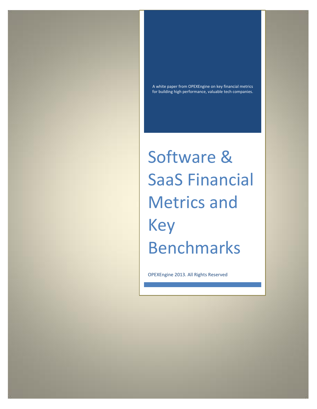A white paper from OPEXEngine on key financial metrics for building high performance, valuable tech companies.

Software & SaaS Financial Metrics and Key Benchmarks

OPEXEngine 2013. All Rights Reserved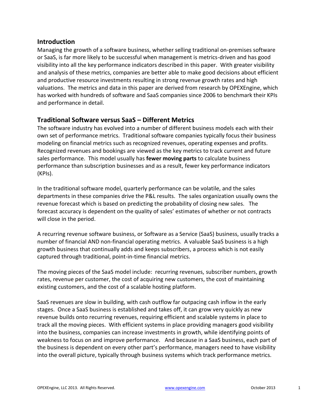#### **Introduction**

Managing the growth of a software business, whether selling traditional on-premises software or SaaS, is far more likely to be successful when management is metrics-driven and has good visibility into all the key performance indicators described in this paper. With greater visibility and analysis of these metrics, companies are better able to make good decisions about efficient and productive resource investments resulting in strong revenue growth rates and high valuations. The metrics and data in this paper are derived from research by OPEXEngine, which has worked with hundreds of software and SaaS companies since 2006 to benchmark their KPIs and performance in detail.

## **Traditional Software versus SaaS – Different Metrics**

The software industry has evolved into a number of different business models each with their own set of performance metrics. Traditional software companies typically focus their business modeling on financial metrics such as recognized revenues, operating expenses and profits. Recognized revenues and bookings are viewed as the key metrics to track current and future sales performance. This model usually has **fewer moving parts** to calculate business performance than subscription businesses and as a result, fewer key performance indicators (KPIs).

In the traditional software model, quarterly performance can be volatile, and the sales departments in these companies drive the P&L results. The sales organization usually owns the revenue forecast which is based on predicting the probability of closing new sales. The forecast accuracy is dependent on the quality of sales' estimates of whether or not contracts will close in the period.

A recurring revenue software business, or Software as a Service (SaaS) business, usually tracks a number of financial AND non-financial operating metrics. A valuable SaaS business is a high growth business that continually adds and keeps subscribers, a process which is not easily captured through traditional, point-in-time financial metrics.

The moving pieces of the SaaS model include: recurring revenues, subscriber numbers, growth rates, revenue per customer, the cost of acquiring new customers, the cost of maintaining existing customers, and the cost of a scalable hosting platform.

SaaS revenues are slow in building, with cash outflow far outpacing cash inflow in the early stages. Once a SaaS business is established and takes off, it can grow very quickly as new revenue builds onto recurring revenues, requiring efficient and scalable systems in place to track all the moving pieces. With efficient systems in place providing managers good visibility into the business, companies can increase investments in growth, while identifying points of weakness to focus on and improve performance. And because in a SaaS business, each part of the business is dependent on every other part's performance, managers need to have visibility into the overall picture, typically through business systems which track performance metrics.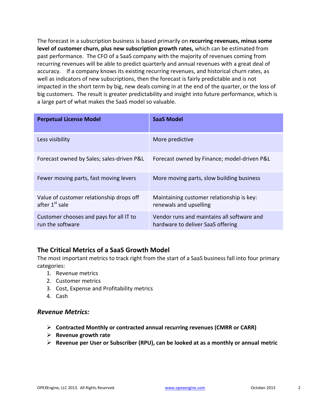The forecast in a subscription business is based primarily on **recurring revenues, minus some level of customer churn, plus new subscription growth rates,** which can be estimated from past performance. The CFO of a SaaS company with the majority of revenues coming from recurring revenues will be able to predict quarterly and annual revenues with a great deal of accuracy. If a company knows its existing recurring revenues, and historical churn rates, as well as indicators of new subscriptions, then the forecast is fairly predictable and is not impacted in the short term by big, new deals coming in at the end of the quarter, or the loss of big customers. The result is greater predictability and insight into future performance, which is a large part of what makes the SaaS model so valuable.

| <b>Perpetual License Model</b>                                         | SaaS Model                                                                      |  |
|------------------------------------------------------------------------|---------------------------------------------------------------------------------|--|
| Less visibility                                                        | More predictive                                                                 |  |
| Forecast owned by Sales; sales-driven P&L                              | Forecast owned by Finance; model-driven P&L                                     |  |
| Fewer moving parts, fast moving levers                                 | More moving parts, slow building business                                       |  |
| Value of customer relationship drops off<br>after 1 <sup>st</sup> sale | Maintaining customer relationship is key:<br>renewals and upselling             |  |
| Customer chooses and pays for all IT to<br>run the software            | Vendor runs and maintains all software and<br>hardware to deliver SaaS offering |  |

## **The Critical Metrics of a SaaS Growth Model**

The most important metrics to track right from the start of a SaaS business fall into four primary categories:

- 1. Revenue metrics
- 2. Customer metrics
- 3. Cost, Expense and Profitability metrics
- 4. Cash

#### *Revenue Metrics:*

- **Contracted Monthly or contracted annual recurring revenues (CMRR or CARR)**
- **Revenue growth rate**
- **Revenue per User or Subscriber (RPU), can be looked at as a monthly or annual metric**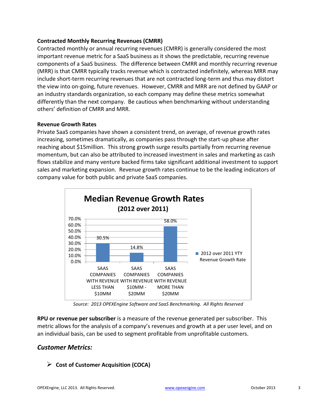#### **Contracted Monthly Recurring Revenues (CMRR)**

Contracted monthly or annual recurring revenues (CMRR) is generally considered the most important revenue metric for a SaaS business as it shows the predictable, recurring revenue components of a SaaS business. The difference between CMRR and monthly recurring revenue (MRR) is that CMRR typically tracks revenue which is contracted indefinitely, whereas MRR may include short-term recurring revenues that are not contracted long-term and thus may distort the view into on-going, future revenues. However, CMRR and MRR are not defined by GAAP or an industry standards organization, so each company may define these metrics somewhat differently than the next company. Be cautious when benchmarking without understanding others' definition of CMRR and MRR.

#### **Revenue Growth Rates**

Private SaaS companies have shown a consistent trend, on average, of revenue growth rates increasing, sometimes dramatically, as companies pass through the start-up phase after reaching about \$15million. This strong growth surge results partially from recurring revenue momentum, but can also be attributed to increased investment in sales and marketing as cash flows stabilize and many venture backed firms take significant additional investment to support sales and marketing expansion. Revenue growth rates continue to be the leading indicators of company value for both public and private SaaS companies.



*Source: 2013 OPEXEngine Software and SaaS Benchmarking. All Rights Reserved*

**RPU or revenue per subscriber** is a measure of the revenue generated per subscriber. This metric allows for the analysis of a company's revenues and growth at a per user level, and on an individual basis, can be used to segment profitable from unprofitable customers.

## *Customer Metrics:*

**Cost of Customer Acquisition (COCA)**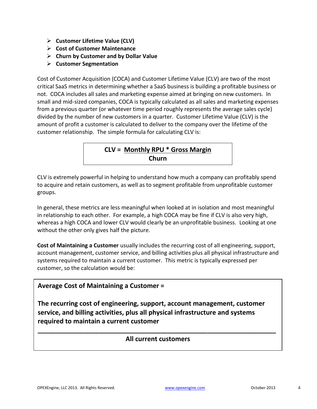- **Customer Lifetime Value (CLV)**
- **Cost of Customer Maintenance**
- **Churn by Customer and by Dollar Value**
- **Customer Segmentation**

Cost of Customer Acquisition (COCA) and Customer Lifetime Value (CLV) are two of the most critical SaaS metrics in determining whether a SaaS business is building a profitable business or not. COCA includes all sales and marketing expense aimed at bringing on new customers. In small and mid-sized companies, COCA is typically calculated as all sales and marketing expenses from a previous quarter (or whatever time period roughly represents the average sales cycle) divided by the number of new customers in a quarter. Customer Lifetime Value (CLV) is the amount of profit a customer is calculated to deliver to the company over the lifetime of the customer relationship. The simple formula for calculating CLV is:



CLV is extremely powerful in helping to understand how much a company can profitably spend to acquire and retain customers, as well as to segment profitable from unprofitable customer groups.

In general, these metrics are less meaningful when looked at in isolation and most meaningful in relationship to each other. For example, a high COCA may be fine if CLV is also very high, whereas a high COCA and lower CLV would clearly be an unprofitable business. Looking at one without the other only gives half the picture.

**Cost of Maintaining a Customer** usually includes the recurring cost of all engineering, support, account management, customer service, and billing activities plus all physical infrastructure and systems required to maintain a current customer. This metric is typically expressed per customer, so the calculation would be:

## **Average Cost of Maintaining a Customer =**

**The recurring cost of engineering, support, account management, customer service, and billing activities, plus all physical infrastructure and systems required to maintain a current customer**

# **\_\_\_\_\_\_\_\_\_\_\_\_\_\_\_\_\_\_\_\_\_\_\_\_\_\_\_\_\_\_\_\_\_\_\_\_\_\_\_\_\_\_\_\_\_\_\_\_\_\_\_\_\_\_\_\_\_\_\_\_\_\_\_\_\_\_ All current customers**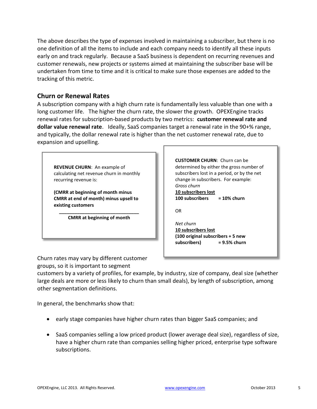The above describes the type of expenses involved in maintaining a subscriber, but there is no one definition of all the items to include and each company needs to identify all these inputs early on and track regularly. Because a SaaS business is dependent on recurring revenues and customer renewals, new projects or systems aimed at maintaining the subscriber base will be undertaken from time to time and it is critical to make sure those expenses are added to the tracking of this metric.

#### **Churn or Renewal Rates**

A subscription company with a high churn rate is fundamentally less valuable than one with a long customer life. The higher the churn rate, the slower the growth. OPEXEngine tracks renewal rates for subscription-based products by two metrics: **customer renewal rate and dollar value renewal rate**. Ideally, SaaS companies target a renewal rate in the 90+% range, and typically, the dollar renewal rate is higher than the net customer renewal rate, due to expansion and upselling.

**REVENUE CHURN**: An example of calculating net revenue churn in monthly recurring revenue is:

**(CMRR at beginning of month minus CMRR at end of month) minus upsell to existing customers** 

**\_\_\_\_\_\_\_\_\_\_\_\_\_\_\_\_\_\_\_\_\_\_\_\_\_\_\_\_\_\_\_ CMRR at beginning of month**

**CUSTOMER CHURN**: Churn can be determined by either the gross number of subscribers lost in a period, or by the net change in subscribers. For example: *Gross churn*  **10 subscribers lost 100 subscribers = 10% churn**  OR *Net churn*  **10 subscribers lost** 

**(100 original subscribers + 5 new subscribers) = 9.5% churn**

Churn rates may vary by different customer groups, so it is important to segment

customers by a variety of profiles, for example, by industry, size of company, deal size (whether large deals are more or less likely to churn than small deals), by length of subscription, among other segmentation definitions.

In general, the benchmarks show that:

- early stage companies have higher churn rates than bigger SaaS companies; and
- SaaS companies selling a low priced product (lower average deal size), regardless of size, have a higher churn rate than companies selling higher priced, enterprise type software subscriptions.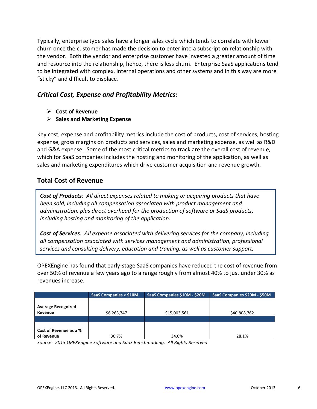Typically, enterprise type sales have a longer sales cycle which tends to correlate with lower churn once the customer has made the decision to enter into a subscription relationship with the vendor. Both the vendor and enterprise customer have invested a greater amount of time and resource into the relationship, hence, there is less churn. Enterprise SaaS applications tend to be integrated with complex, internal operations and other systems and in this way are more "sticky" and difficult to displace.

## *Critical Cost, Expense and Profitability Metrics:*

- **Cost of Revenue**
- **Sales and Marketing Expense**

Key cost, expense and profitability metrics include the cost of products, cost of services, hosting expense, gross margins on products and services, sales and marketing expense, as well as R&D and G&A expense. Some of the most critical metrics to track are the overall cost of revenue, which for SaaS companies includes the hosting and monitoring of the application, as well as sales and marketing expenditures which drive customer acquisition and revenue growth.

## **Total Cost of Revenue**

*Cost of Products: All direct expenses related to making or acquiring products that have been sold, including all compensation associated with product management and administration, plus direct overhead for the production of software or SaaS products, including hosting and monitoring of the application.*

*Cost of Services: All expense associated with delivering services for the company, including all compensation associated with services management and administration, professional services and consulting delivery, education and training, as well as customer support.*

OPEXEngine has found that early-stage SaaS companies have reduced the cost of revenue from over 50% of revenue a few years ago to a range roughly from almost 40% to just under 30% as revenues increase.

|                                      | <b>SaaS Companies &lt; \$10M</b> | SaaS Companies \$10M - \$20M | SaaS Companies \$20M - \$50M |
|--------------------------------------|----------------------------------|------------------------------|------------------------------|
| <b>Average Recognized</b><br>Revenue | \$6,263,747                      | \$15,003,561                 | \$40,808,762                 |
| Cost of Revenue as a %<br>of Revenue | 36.7%                            | 34.0%                        | 28.1%                        |

*Source: 2013 OPEXEngine Software and SaaS Benchmarking. All Rights Reserved*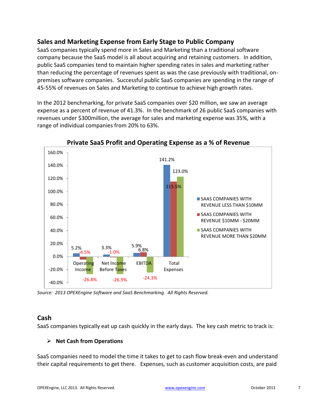## **Sales and Marketing Expense from Early Stage to Public Company**

SaaS companies typically spend more in Sales and Marketing than a traditional software company because the SaaS model is all about acquiring and retaining customers. In addition, public SaaS companies tend to maintain higher spending rates in sales and marketing rather than reducing the percentage of revenues spent as was the case previously with traditional, onpremises software companies. Successful public SaaS companies are spending in the range of 45-55% of revenues on Sales and Marketing to continue to achieve high growth rates.

In the 2012 benchmarking, for private SaaS companies over \$20 million, we saw an average expense as a percent of revenue of 41.3%. In the benchmark of 26 public SaaS companies with revenues under \$300million, the average for sales and marketing expense was 35%, with a range of individual companies from 20% to 63%.



**Private SaaS Profit and Operating Expense as a % of Revenue** 

*Source: 2013 OPEXEngine Software and SaaS Benchmarking. All Rights Reserved.* 

#### **Cash**

SaaS companies typically eat up cash quickly in the early days. The key cash metric to track is:

#### **Net Cash from Operations**

SaaS companies need to model the time it takes to get to cash flow break-even and understand their capital requirements to get there. Expenses, such as customer acquisition costs, are paid